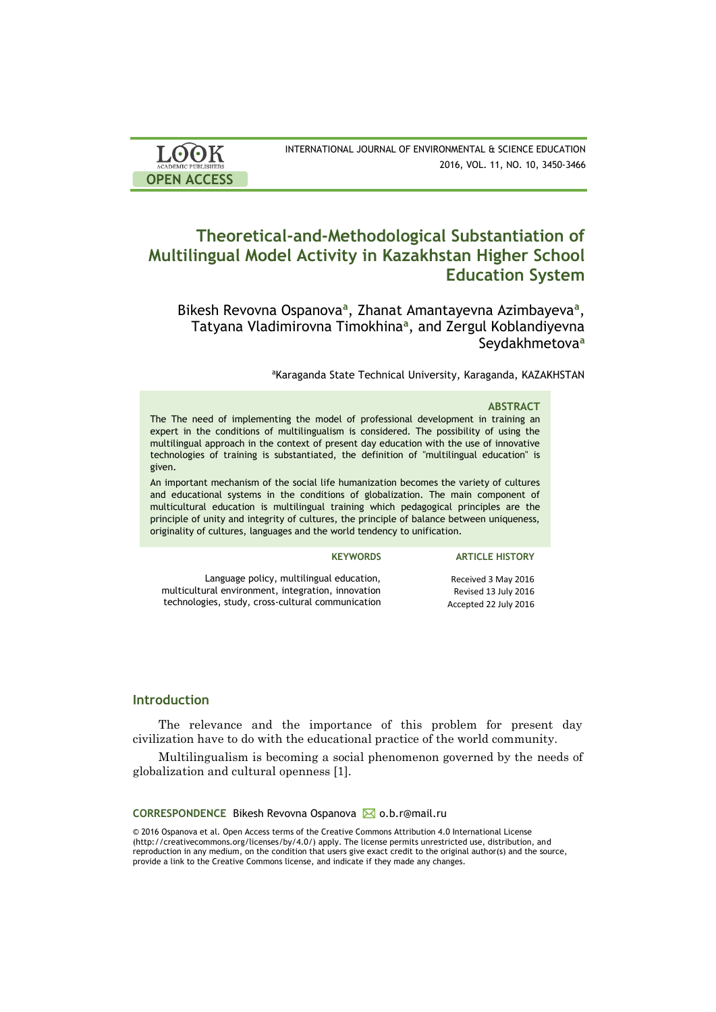| <b>LOOK</b>                | INTERNATIONAL JOURNAL OF ENVIRONMENTAL & SCIENCE EDUCATION |
|----------------------------|------------------------------------------------------------|
| <b>ACADEMIC PUBLISHERS</b> | 2016, VOL. 11, NO. 10, 3450-3466                           |
| <b>OPEN ACCESS</b>         |                                                            |

# **Theoretical-and-Methodological Substantiation of Multilingual Model Activity in Kazakhstan Higher School Education System**

Bikesh Revovna Ospanova<sup>a</sup>, Zhanat Amantayevna Azimbayeva<sup>a</sup>, Tatyana Vladimirovna Timokhina**<sup>a</sup>** , and Zergul Koblandiyevna Seydakhmetova**<sup>a</sup>**

aKaraganda State Technical University, Karaganda, KAZAKHSTAN

### **ABSTRACT**

The The need of implementing the model of professional development in training an expert in the conditions of multilingualism is considered. The possibility of using the multilingual approach in the context of present day education with the use of innovative technologies of training is substantiated, the definition of "multilingual education" is given.

An important mechanism of the social life humanization becomes the variety of cultures and educational systems in the conditions of globalization. The main component of multicultural education is multilingual training which pedagogical principles are the principle of unity and integrity of cultures, the principle of balance between uniqueness, originality of cultures, languages and the world tendency to unification.

### **KEYWORDS ARTICLE HISTORY**

Language policy, multilingual education, multicultural environment, integration, innovation technologies, study, cross-cultural communication

Received 3 May 2016 Revised 13 July 2016 Accepted 22 July 2016

## **Introduction**

The relevance and the importance of this problem for present day civilization have to do with the educational practice of the world community.

Multilingualism is becoming a social phenomenon governed by the needs of globalization and cultural openness [1].

### **CORRESPONDENCE** Bikesh Revovna Ospanova ⊠ o.b.r@mail.ru

© 2016 Ospanova et al. Open Access terms of the Creative Commons Attribution 4.0 International License (http://creativecommons.org/licenses/by/4.0/) apply. The license permits unrestricted use, distribution, and reproduction in any medium, on the condition that users give exact credit to the original author(s) and the source, provide a link to the Creative Commons license, and indicate if they made any changes.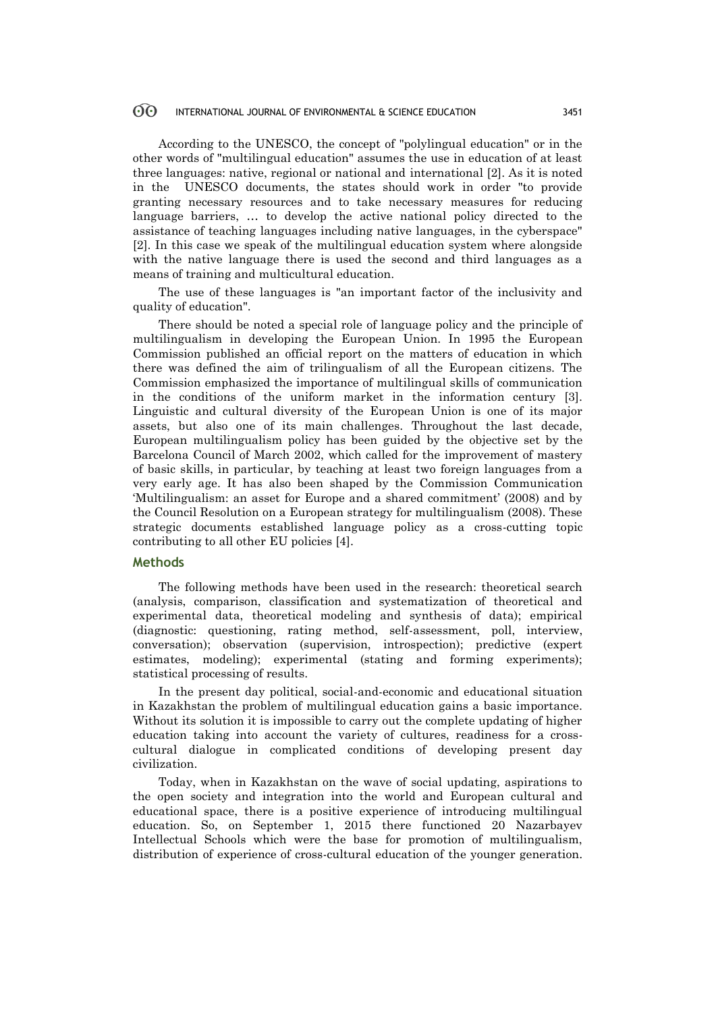According to the UNESCO, the concept of "polylingual education" or in the other words of "multilingual education" assumes the use in education of at least three languages: native, regional or national and international [2]. As it is noted in the UNESCO documents, the states should work in order "to provide granting necessary resources and to take necessary measures for reducing language barriers, … to develop the active national policy directed to the assistance of teaching languages including native languages, in the cyberspace" [2]. In this case we speak of the multilingual education system where alongside with the native language there is used the second and third languages as a means of training and multicultural education.

The use of these languages is "an important factor of the inclusivity and quality of education".

There should be noted a special role of language policy and the principle of multilingualism in developing the European Union. In 1995 the European Commission published an official report on the matters of education in which there was defined the aim of trilingualism of all the European citizens. The Commission emphasized the importance of multilingual skills of communication in the conditions of the uniform market in the information century [3]. Linguistic and cultural diversity of the European Union is one of its major assets, but also one of its main challenges. Throughout the last decade, European multilingualism policy has been guided by the objective set by the Barcelona Council of March 2002, which called for the improvement of mastery of basic skills, in particular, by teaching at least two foreign languages from a very early age. It has also been shaped by the Commission Communication 'Multilingualism: an asset for Europe and a shared commitment' (2008) and by the Council Resolution on a European strategy for multilingualism (2008). These strategic documents established language policy as a cross-cutting topic contributing to all other EU policies [4].

### **Methods**

The following methods have been used in the research: theoretical search (analysis, comparison, classification and systematization of theoretical and experimental data, theoretical modeling and synthesis of data); empirical (diagnostic: questioning, rating method, self-assessment, poll, interview, conversation); observation (supervision, introspection); predictive (expert estimates, modeling); experimental (stating and forming experiments); statistical processing of results.

In the present day political, social-and-economic and educational situation in Kazakhstan the problem of multilingual education gains a basic importance. Without its solution it is impossible to carry out the complete updating of higher education taking into account the variety of cultures, readiness for a crosscultural dialogue in complicated conditions of developing present day civilization.

Today, when in Kazakhstan on the wave of social updating, aspirations to the open society and integration into the world and European cultural and educational space, there is a positive experience of introducing multilingual education. So, on September 1, 2015 there functioned 20 Nazarbayev Intellectual Schools which were the base for promotion of multilingualism, distribution of experience of cross-cultural education of the younger generation.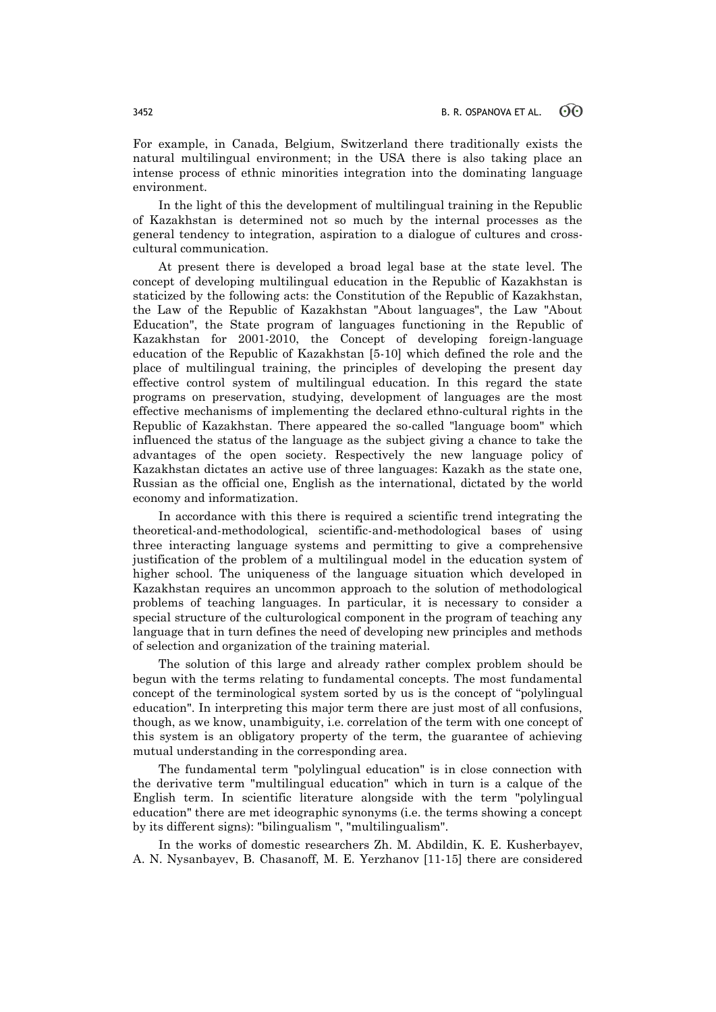For example, in Canada, Belgium, Switzerland there traditionally exists the natural multilingual environment; in the USA there is also taking place an intense process of ethnic minorities integration into the dominating language environment.

In the light of this the development of multilingual training in the Republic of Kazakhstan is determined not so much by the internal processes as the general tendency to integration, aspiration to a dialogue of cultures and crosscultural communication.

At present there is developed a broad legal base at the state level. The concept of developing multilingual education in the Republic of Kazakhstan is staticized by the following acts: the Constitution of the Republic of Kazakhstan, the Law of the Republic of Kazakhstan "About languages", the Law "About Education", the State program of languages functioning in the Republic of Kazakhstan for 2001-2010, the Concept of developing foreign-language education of the Republic of Kazakhstan [5-10] which defined the role and the place of multilingual training, the principles of developing the present day effective control system of multilingual education. In this regard the state programs on preservation, studying, development of languages are the most effective mechanisms of implementing the declared ethno-cultural rights in the Republic of Kazakhstan. There appeared the so-called "language boom" which influenced the status of the language as the subject giving a chance to take the advantages of the open society. Respectively the new language policy of Kazakhstan dictates an active use of three languages: Kazakh as the state one, Russian as the official one, English as the international, dictated by the world economy and informatization.

In accordance with this there is required a scientific trend integrating the theoretical-and-methodological, scientific-and-methodological bases of using three interacting language systems and permitting to give a comprehensive justification of the problem of a multilingual model in the education system of higher school. The uniqueness of the language situation which developed in Kazakhstan requires an uncommon approach to the solution of methodological problems of teaching languages. In particular, it is necessary to consider a special structure of the culturological component in the program of teaching any language that in turn defines the need of developing new principles and methods of selection and organization of the training material.

The solution of this large and already rather complex problem should be begun with the terms relating to fundamental concepts. The most fundamental concept of the terminological system sorted by us is the concept of "polylingual education". In interpreting this major term there are just most of all confusions, though, as we know, unambiguity, i.e. correlation of the term with one concept of this system is an obligatory property of the term, the guarantee of achieving mutual understanding in the corresponding area.

The fundamental term "polylingual education" is in close connection with the derivative term "multilingual education" which in turn is a calque of the English term. In scientific literature alongside with the term "polylingual education" there are met ideographic synonyms (i.e. the terms showing a concept by its different signs): "bilingualism ", "multilingualism".

In the works of domestic researchers Zh. M. Abdildin, K. E. Kusherbayev, A. N. Nysanbayev, B. Chasanoff, M. E. Yerzhanov [11-15] there are considered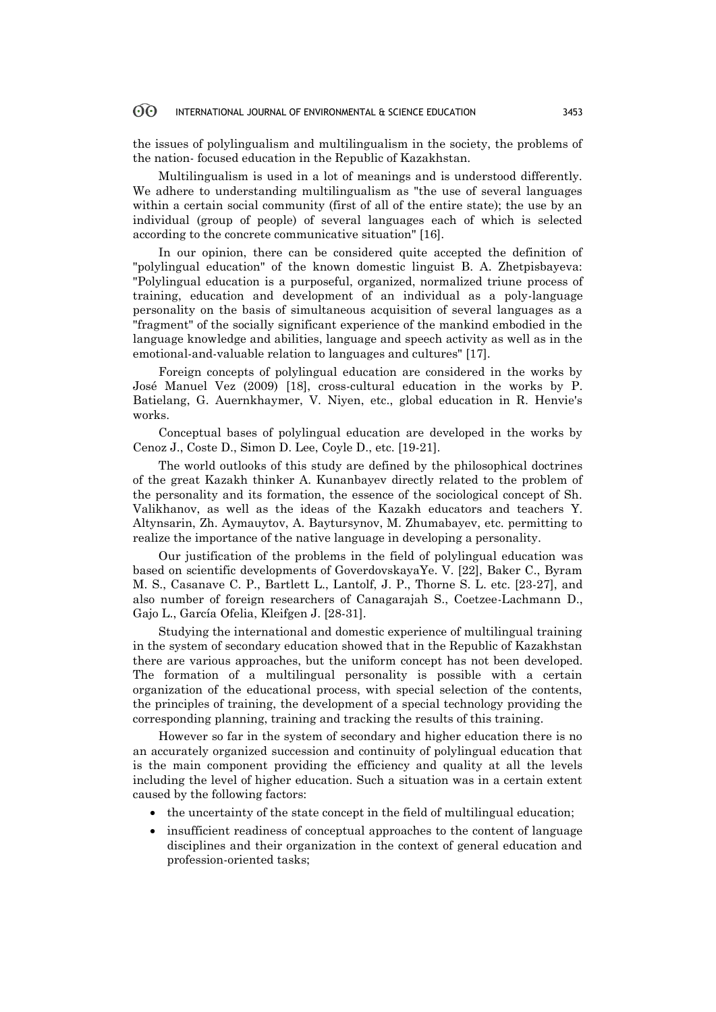the issues of polylingualism and multilingualism in the society, the problems of the nation- focused education in the Republic of Kazakhstan.

Multilingualism is used in a lot of meanings and is understood differently. We adhere to understanding multilingualism as "the use of several languages within a certain social community (first of all of the entire state); the use by an individual (group of people) of several languages each of which is selected according to the concrete communicative situation" [16].

In our opinion, there can be considered quite accepted the definition of "polylingual education" of the known domestic linguist B. A. Zhetpisbayeva: "Polylingual education is a purposeful, organized, normalized triune process of training, education and development of an individual as a poly-language personality on the basis of simultaneous acquisition of several languages as a "fragment" of the socially significant experience of the mankind embodied in the language knowledge and abilities, language and speech activity as well as in the emotional-and-valuable relation to languages and cultures" [17].

Foreign concepts of polylingual education are considered in the works by José Manuel Vez (2009) [18], cross-cultural education in the works by P. Batielang, G. Auernkhaymer, V. Niyen, etc., global education in R. Henvie's works.

Conceptual bases of polylingual education are developed in the works by Cenoz J., Coste D., Simon D. Lee, Coyle D., etc. [19-21].

The world outlooks of this study are defined by the philosophical doctrines of the great Kazakh thinker A. Kunanbayev directly related to the problem of the personality and its formation, the essence of the sociological concept of Sh. Valikhanov, as well as the ideas of the Kazakh educators and teachers Y. Altynsarin, Zh. Aymauytov, A. Baytursynov, M. Zhumabayev, etc. permitting to realize the importance of the native language in developing a personality.

Our justification of the problems in the field of polylingual education was based on scientific developments of GoverdovskayaYe. V. [22], Baker C., Byram M. S., Casanave C. P., Bartlett L., Lantolf, J. P., Thorne S. L. etc. [23-27], and also number of foreign researchers of Canagarajah S., Coetzee-Lachmann D., Gajo L., García Ofelia, Kleifgen J. [28-31].

Studying the international and domestic experience of multilingual training in the system of secondary education showed that in the Republic of Kazakhstan there are various approaches, but the uniform concept has not been developed. The formation of a multilingual personality is possible with a certain organization of the educational process, with special selection of the contents, the principles of training, the development of a special technology providing the corresponding planning, training and tracking the results of this training.

However so far in the system of secondary and higher education there is no an accurately organized succession and continuity of polylingual education that is the main component providing the efficiency and quality at all the levels including the level of higher education. Such a situation was in a certain extent caused by the following factors:

- $\bullet$  the uncertainty of the state concept in the field of multilingual education;
- insufficient readiness of conceptual approaches to the content of language disciplines and their organization in the context of general education and profession-oriented tasks;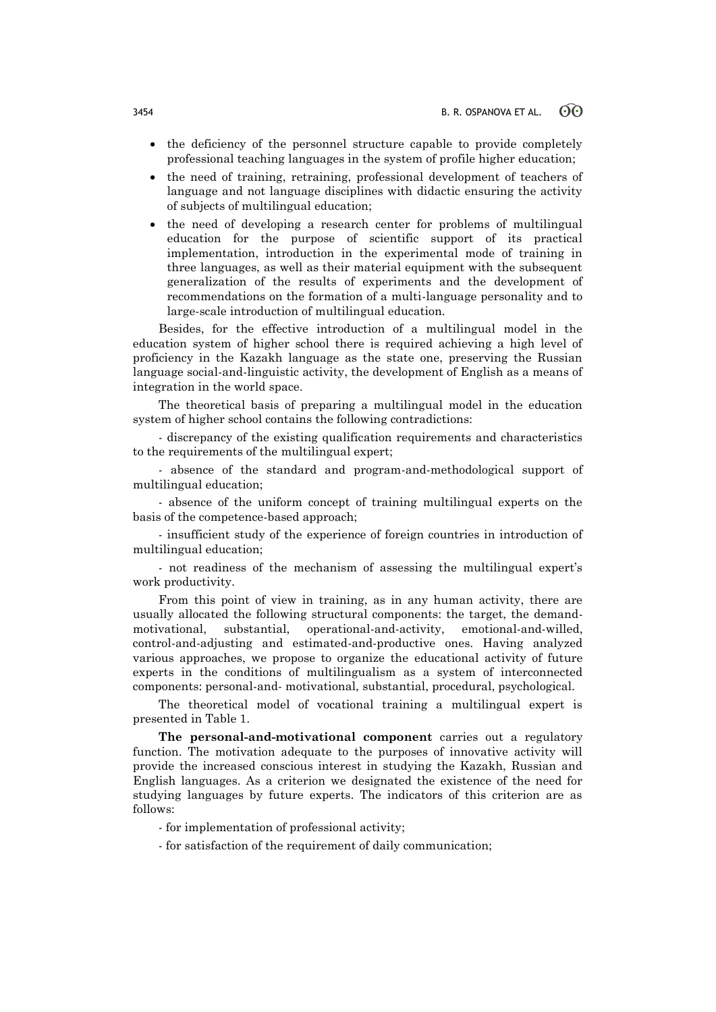- the deficiency of the personnel structure capable to provide completely professional teaching languages in the system of profile higher education;
- the need of training, retraining, professional development of teachers of language and not language disciplines with didactic ensuring the activity of subjects of multilingual education;
- the need of developing a research center for problems of multilingual education for the purpose of scientific support of its practical implementation, introduction in the experimental mode of training in three languages, as well as their material equipment with the subsequent generalization of the results of experiments and the development of recommendations on the formation of a multi-language personality and to large-scale introduction of multilingual education.

Besides, for the effective introduction of a multilingual model in the education system of higher school there is required achieving a high level of proficiency in the Kazakh language as the state one, preserving the Russian language social-and-linguistic activity, the development of English as a means of integration in the world space.

The theoretical basis of preparing a multilingual model in the education system of higher school contains the following contradictions:

- discrepancy of the existing qualification requirements and characteristics to the requirements of the multilingual expert;

- absence of the standard and program-and-methodological support of multilingual education;

- absence of the uniform concept of training multilingual experts on the basis of the competence-based approach;

- insufficient study of the experience of foreign countries in introduction of multilingual education;

- not readiness of the mechanism of assessing the multilingual expert's work productivity.

From this point of view in training, as in any human activity, there are usually allocated the following structural components: the target, the demandmotivational, substantial, operational-and-activity, emotional-and-willed, control-and-adjusting and estimated-and-productive ones. Having analyzed various approaches, we propose to organize the educational activity of future experts in the conditions of multilingualism as a system of interconnected components: personal-and- motivational, substantial, procedural, psychological.

The theoretical model of vocational training a multilingual expert is presented in Table 1.

**The personal-and-motivational component** carries out a regulatory function. The motivation adequate to the purposes of innovative activity will provide the increased conscious interest in studying the Kazakh, Russian and English languages. As a criterion we designated the existence of the need for studying languages by future experts. The indicators of this criterion are as follows:

- for implementation of professional activity;

- for satisfaction of the requirement of daily communication;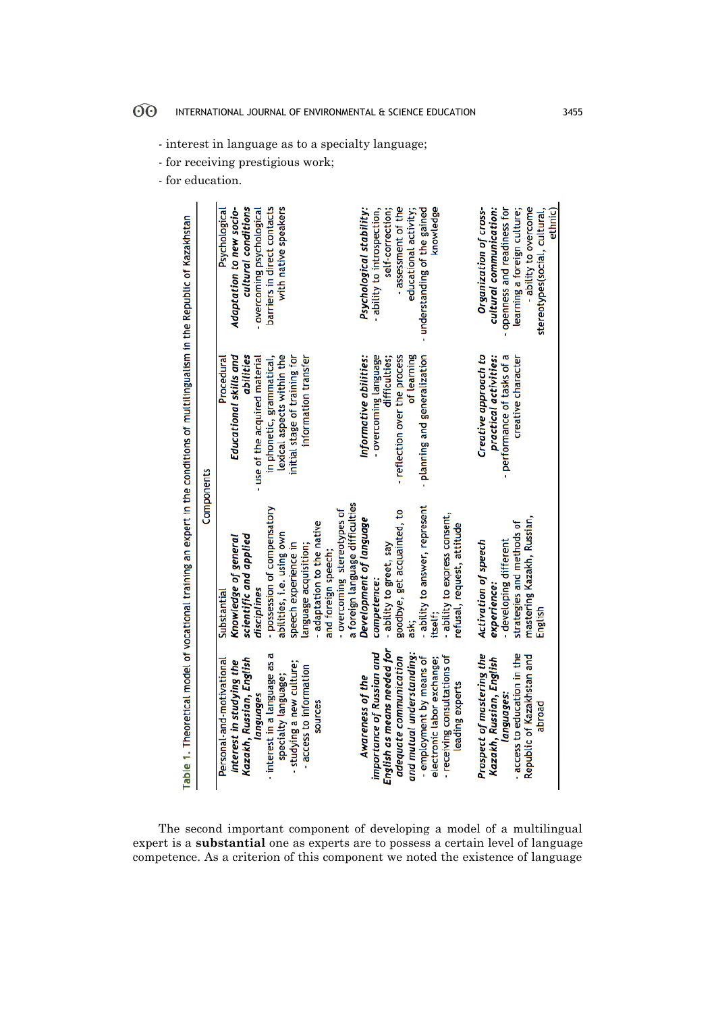- interest in language as to a specialty language;

- for receiving prestigious work;

- for education.

|                                                                                                                                |            | cultural conditions<br>Psychological<br>Adaptation to new socio-                  | - overcoming psychological     | with native speakers<br>barriers in direct contacts     |                                                       |                                                                                | Psychological stability:                                   | - ability to introspection,<br>self-correction;          | - assessment of the<br>educational activity;        | knowledge<br>- understanding of the gained             |                                                             | Organization of cross-<br>cultural communication:     | - ability to overcome<br>openness and readiness for<br>learning a foreign culture;<br>stereotypes(social, cultural, | ethnic) |
|--------------------------------------------------------------------------------------------------------------------------------|------------|-----------------------------------------------------------------------------------|--------------------------------|---------------------------------------------------------|-------------------------------------------------------|--------------------------------------------------------------------------------|------------------------------------------------------------|----------------------------------------------------------|-----------------------------------------------------|--------------------------------------------------------|-------------------------------------------------------------|-------------------------------------------------------|---------------------------------------------------------------------------------------------------------------------|---------|
| Table 1. Theoretical model of vocational training an expert in the conditions of multilingualism in the Republic of Kazakhstan |            | Educational skills and<br>abilities<br>Procedural                                 | - use of the acquired material | lexical aspects within the<br>in phonetic, grammatical, | initial stage of training for<br>information transfer |                                                                                | Informative abilities:                                     | - overcoming language<br>difficulties;                   | - reflection over the process<br>of learning        | planning and generalization                            |                                                             | Creative approach to<br>practical activities:         | performance of tasks of a<br>creative character                                                                     |         |
|                                                                                                                                | Components | scientific and applied<br>Knowledge of general<br>Substantial                     | disciplines                    | possession of compensatory<br>abilities, i.e. using own | speech experience in<br>anguage acquisition;          | overcoming stereotypes of<br>- adaptation to the native<br>and foreign speech; | a foreign language difficulties<br>Development of language | - ability to greet, say<br>competence:                   | goodbye, get acquainted, to<br>ask                  | - ability to answer, represent<br>itself:              | - ability to express consent,<br>refusal, request, attitude | Activation of speech<br>experience:                   | mastering Kazakh, Russian,<br>strategies and methods of<br>developing different<br>Englist                          |         |
|                                                                                                                                |            | Kazakh, Russian, English<br>Personal-and-motivational<br>Interest in studying the | languages                      | interest in a language as a<br>specialty language;      | studying a new culture;<br>- access to information    | sources                                                                        | Awareness of the                                           | English as means needed for<br>importance of Russian and | and mutual understanding:<br>adequate communication | - employment by means of<br>electronic labor exchange; | - receiving consultations of<br>leading experts             | Prospect of mastering the<br>Kazakh, Russian, English | - access to education in the<br>Republic of Kazakhstan and<br>languages:<br>abroad                                  |         |

The second important component of developing a model of a multilingual expert is a **substantial** one as experts are to possess a certain level of language competence. As a criterion of this component we noted the existence of language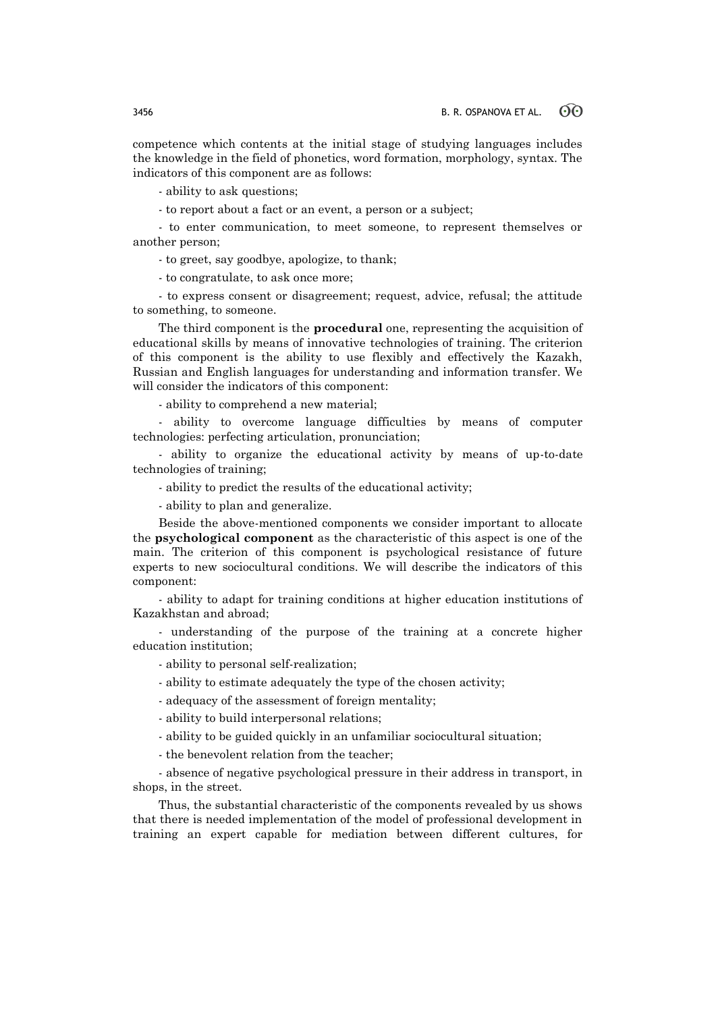competence which contents at the initial stage of studying languages includes the knowledge in the field of phonetics, word formation, morphology, syntax. The indicators of this component are as follows:

- ability to ask questions;

- to report about a fact or an event, a person or a subject;

- to enter communication, to meet someone, to represent themselves or another person;

- to greet, say goodbye, apologize, to thank;

- to congratulate, to ask once more;

- to express consent or disagreement; request, advice, refusal; the attitude to something, to someone.

The third component is the **procedural** one, representing the acquisition of educational skills by means of innovative technologies of training. The criterion of this component is the ability to use flexibly and effectively the Kazakh, Russian and English languages for understanding and information transfer. We will consider the indicators of this component:

- ability to comprehend a new material;

- ability to overcome language difficulties by means of computer technologies: perfecting articulation, pronunciation;

- ability to organize the educational activity by means of up-to-date technologies of training;

- ability to predict the results of the educational activity;

- ability to plan and generalize.

Beside the above-mentioned components we consider important to allocate the **psychological component** as the characteristic of this aspect is one of the main. The criterion of this component is psychological resistance of future experts to new sociocultural conditions. We will describe the indicators of this component:

- ability to adapt for training conditions at higher education institutions of Kazakhstan and abroad;

- understanding of the purpose of the training at a concrete higher education institution;

- ability to personal self-realization;

- ability to estimate adequately the type of the chosen activity;

- adequacy of the assessment of foreign mentality;

- ability to build interpersonal relations;

- ability to be guided quickly in an unfamiliar sociocultural situation;

- the benevolent relation from the teacher;

- absence of negative psychological pressure in their address in transport, in shops, in the street.

Thus, the substantial characteristic of the components revealed by us shows that there is needed implementation of the model of professional development in training an expert capable for mediation between different cultures, for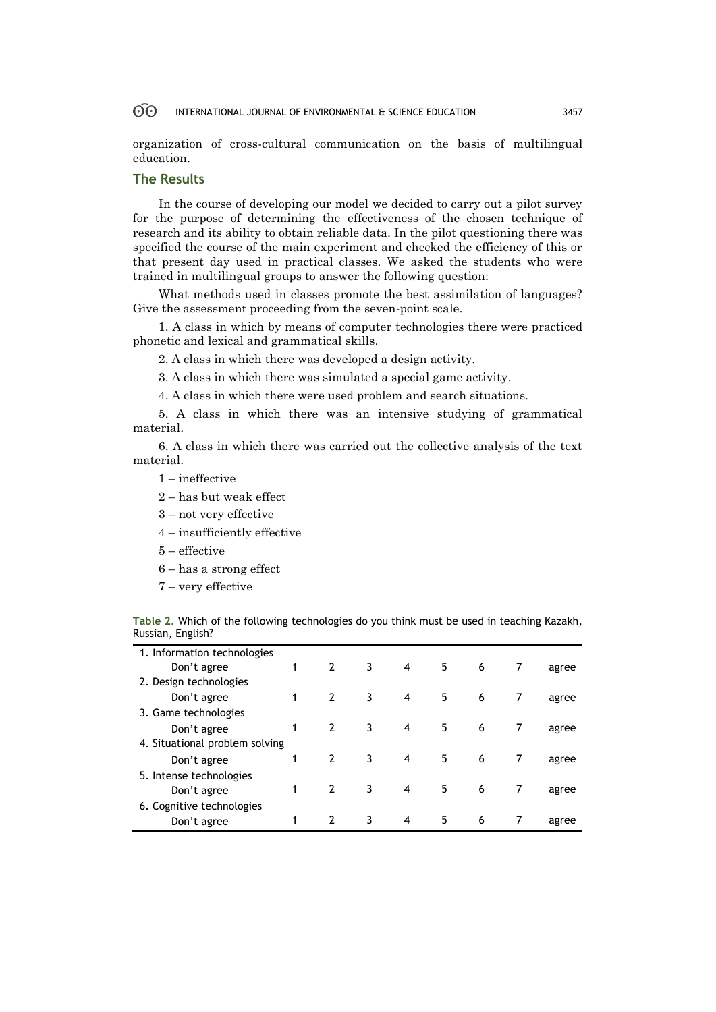organization of cross-cultural communication on the basis of multilingual education.

## **The Results**

In the course of developing our model we decided to carry out a pilot survey for the purpose of determining the effectiveness of the chosen technique of research and its ability to obtain reliable data. In the pilot questioning there was specified the course of the main experiment and checked the efficiency of this or that present day used in practical classes. We asked the students who were trained in multilingual groups to answer the following question:

What methods used in classes promote the best assimilation of languages? Give the assessment proceeding from the seven-point scale.

1. A class in which by means of computer technologies there were practiced phonetic and lexical and grammatical skills.

2. A class in which there was developed a design activity.

3. A class in which there was simulated a special game activity.

4. A class in which there were used problem and search situations.

5. A class in which there was an intensive studying of grammatical material.

6. A class in which there was carried out the collective analysis of the text material.

- 1 ineffective
- 2 has but weak effect
- 3 not very effective
- 4 insufficiently effective
- 5 effective
- 6 has a strong effect
- 7 very effective

**Table 2.** Which of the following technologies do you think must be used in teaching Kazakh, Russian, English?

| 1. Information technologies    |   |                |   |   |    |   |   |       |
|--------------------------------|---|----------------|---|---|----|---|---|-------|
| Don't agree                    | 1 | $\overline{2}$ | 3 | 4 | 5  | 6 | 7 | agree |
| 2. Design technologies         |   |                |   |   |    |   |   |       |
| Don't agree                    |   | $\overline{2}$ | 3 | 4 | 5  | 6 |   | agree |
| 3. Game technologies           |   |                |   |   |    |   |   |       |
| Don't agree                    |   | $\overline{2}$ | 3 | 4 | 5  | 6 |   | agree |
| 4. Situational problem solving |   |                |   |   |    |   |   |       |
| Don't agree                    | 1 | $\overline{2}$ | 3 | 4 | 5  | 6 |   | agree |
| 5. Intense technologies        |   |                |   |   |    |   |   |       |
| Don't agree                    | 1 | $\overline{2}$ | 3 | 4 | 5. | 6 |   | agree |
| 6. Cognitive technologies      |   |                |   |   |    |   |   |       |
| Don't agree                    |   | $\overline{2}$ | 3 | 4 | 5  | 6 |   | agree |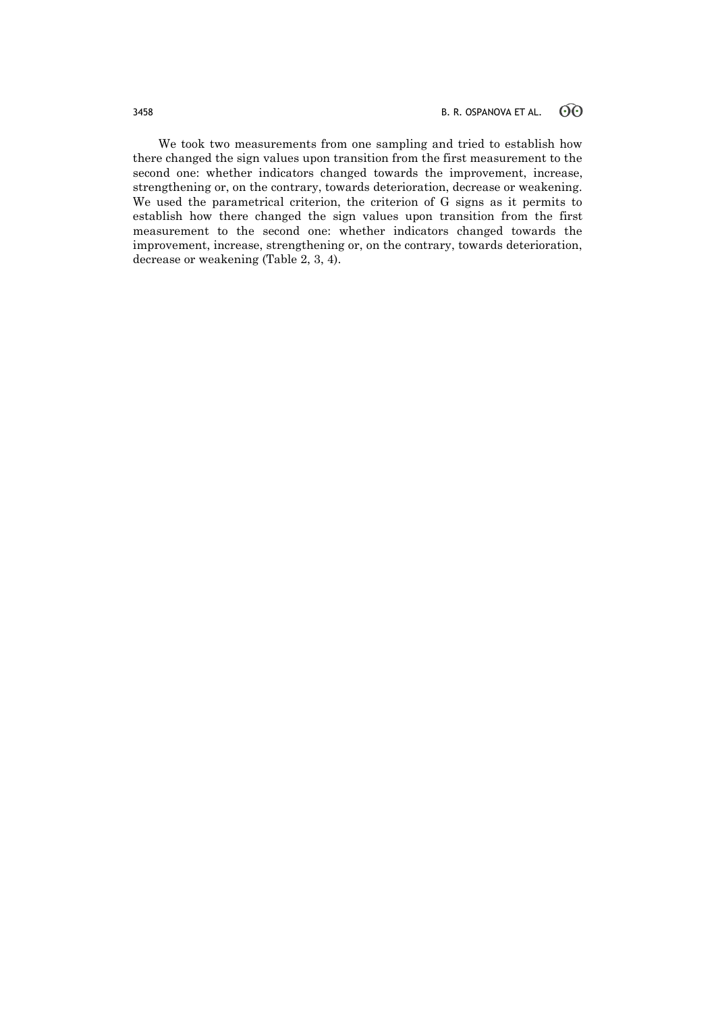We took two measurements from one sampling and tried to establish how there changed the sign values upon transition from the first measurement to the second one: whether indicators changed towards the improvement, increase, strengthening or, on the contrary, towards deterioration, decrease or weakening. We used the parametrical criterion, the criterion of G signs as it permits to establish how there changed the sign values upon transition from the first measurement to the second one: whether indicators changed towards the improvement, increase, strengthening or, on the contrary, towards deterioration, decrease or weakening (Table 2, 3, 4).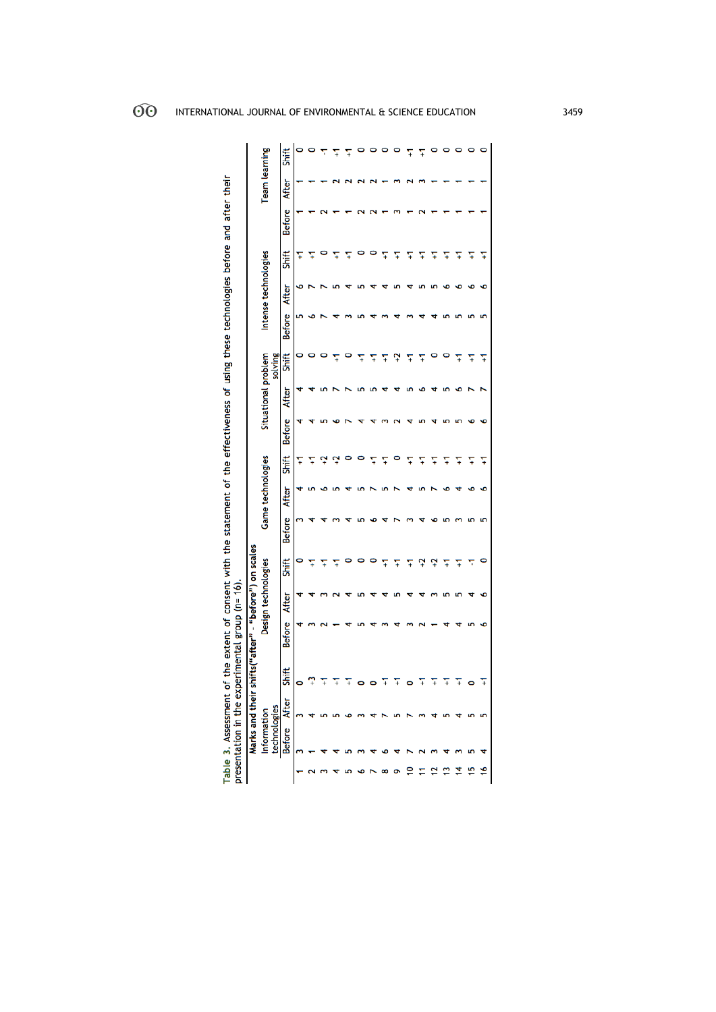| Ē<br>so etatom<br>ā |
|---------------------|
| I                   |
| n scales            |

| Game technologies<br><b>After</b><br><b>Before</b><br>ifts("after" - "before") on scales<br>Design technologies<br>Shift<br><b>After</b><br><b>Before</b><br>Shift<br>0<br>Marks and their sh<br><b>After</b><br>technologies<br>Information<br><b>Before</b> |  |         |  |   |  | Shift | <b>Before</b> | Situational problem<br><b>After</b> | solving<br>Shift | <b>Before</b> | Intense technologies<br>After | Shift | <b>Before</b> | <b>Team learning</b><br><b>After</b> | Shift |
|---------------------------------------------------------------------------------------------------------------------------------------------------------------------------------------------------------------------------------------------------------------|--|---------|--|---|--|-------|---------------|-------------------------------------|------------------|---------------|-------------------------------|-------|---------------|--------------------------------------|-------|
|                                                                                                                                                                                                                                                               |  | ၞ<br>Ŧ  |  |   |  |       |               |                                     |                  |               |                               |       |               |                                      |       |
|                                                                                                                                                                                                                                                               |  | Ŧ       |  |   |  |       |               |                                     |                  |               |                               |       |               |                                      |       |
|                                                                                                                                                                                                                                                               |  | Ŧ       |  |   |  |       |               |                                     |                  |               |                               |       |               |                                      |       |
|                                                                                                                                                                                                                                                               |  | 0       |  |   |  |       |               |                                     |                  |               |                               |       |               |                                      |       |
|                                                                                                                                                                                                                                                               |  | O       |  |   |  |       |               |                                     | Ŧ                |               |                               |       |               |                                      |       |
|                                                                                                                                                                                                                                                               |  | ¥       |  |   |  |       |               |                                     | 7                |               |                               |       |               |                                      |       |
|                                                                                                                                                                                                                                                               |  | Ŧ       |  |   |  |       |               |                                     | Ļ                |               |                               |       |               |                                      |       |
| ₽                                                                                                                                                                                                                                                             |  | $\circ$ |  |   |  |       |               |                                     | 7                |               |                               |       |               |                                      | Ŧ     |
|                                                                                                                                                                                                                                                               |  | Ŧ       |  | ₽ |  |       |               |                                     | 7                |               |                               |       |               |                                      |       |
|                                                                                                                                                                                                                                                               |  | Ŧ       |  | Ļ |  |       |               |                                     |                  |               |                               |       |               |                                      |       |
|                                                                                                                                                                                                                                                               |  | Ŧ       |  | ¥ |  |       |               |                                     |                  |               |                               |       |               |                                      |       |
| ⋣                                                                                                                                                                                                                                                             |  | Ŧ       |  |   |  |       |               |                                     |                  |               |                               |       |               |                                      |       |
| دِء                                                                                                                                                                                                                                                           |  | $\circ$ |  |   |  |       |               |                                     |                  |               |                               |       |               |                                      |       |
| \$,                                                                                                                                                                                                                                                           |  | Ŧ       |  |   |  |       |               |                                     |                  |               |                               |       |               |                                      |       |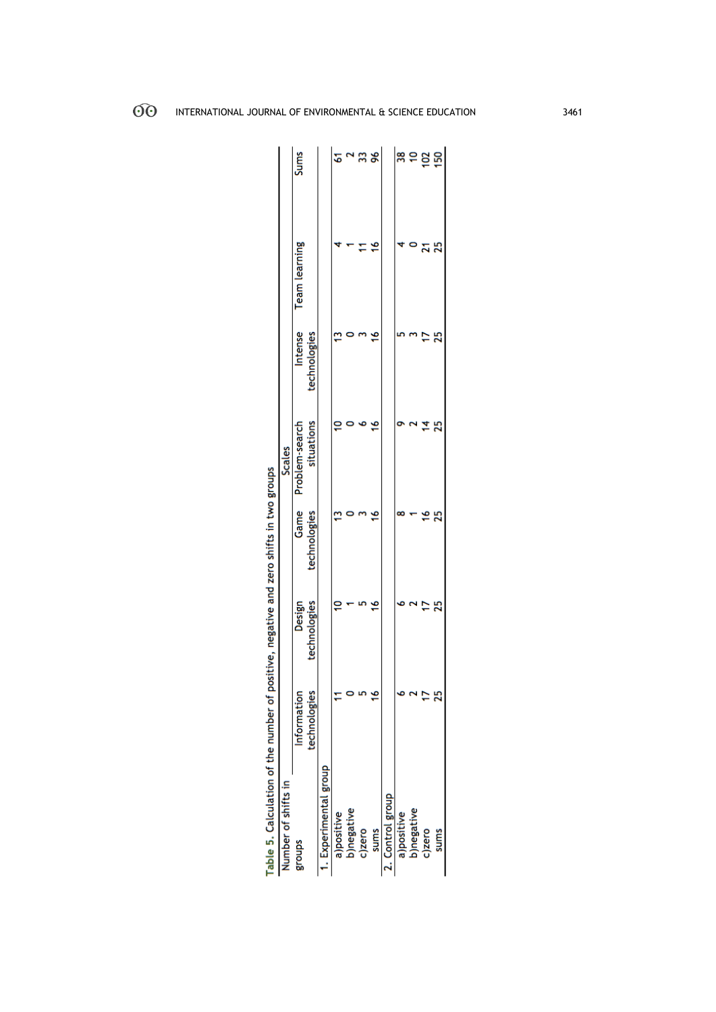| Number of shifts in  |              |              |              | Scales              |              |                      |                 |
|----------------------|--------------|--------------|--------------|---------------------|--------------|----------------------|-----------------|
| groups               | Information  | Design       |              | Game Problem-search | Intense      | <b>Team</b> learning | Sums            |
|                      | technologies | technologies | technologies | situations          | technologies |                      |                 |
| . Experimental group |              |              |              |                     |              |                      |                 |
| a)positive           |              | ₽            |              |                     |              |                      | 5               |
| b)negative           |              |              |              |                     |              |                      |                 |
| c)zero               |              |              |              |                     |              |                      | ౢ               |
| <b>Sums</b>          |              | ۴            |              |                     | £            | ٩                    | 96              |
| Control group        |              |              |              |                     |              |                      |                 |
| a)positive           |              |              |              |                     |              |                      | 38              |
| b)negative           |              |              |              |                     |              |                      | ő               |
| c)zero               |              |              |              |                     |              |                      |                 |
| sums                 |              | ని           | 25           | ని                  |              |                      | $\frac{2}{150}$ |

| is a straight of the straight of the straight of the straight of the straight of the straight of the straight of the straight of the straight of the straight of the straight of the straight of the straight of the straight |  |
|-------------------------------------------------------------------------------------------------------------------------------------------------------------------------------------------------------------------------------|--|
|                                                                                                                                                                                                                               |  |
|                                                                                                                                                                                                                               |  |
|                                                                                                                                                                                                                               |  |
|                                                                                                                                                                                                                               |  |
|                                                                                                                                                                                                                               |  |
|                                                                                                                                                                                                                               |  |
|                                                                                                                                                                                                                               |  |
|                                                                                                                                                                                                                               |  |
|                                                                                                                                                                                                                               |  |
|                                                                                                                                                                                                                               |  |
|                                                                                                                                                                                                                               |  |
|                                                                                                                                                                                                                               |  |
|                                                                                                                                                                                                                               |  |
|                                                                                                                                                                                                                               |  |
|                                                                                                                                                                                                                               |  |
|                                                                                                                                                                                                                               |  |
|                                                                                                                                                                                                                               |  |
|                                                                                                                                                                                                                               |  |
|                                                                                                                                                                                                                               |  |
|                                                                                                                                                                                                                               |  |
|                                                                                                                                                                                                                               |  |
|                                                                                                                                                                                                                               |  |
|                                                                                                                                                                                                                               |  |
|                                                                                                                                                                                                                               |  |
| ֧֧֧֧֧֧֧֧֧֧֧֧֧֧֧֧֧֧֧֧֧֧֧֛֧֧֚֚֚֚֚֚֚֚֚֚֚֚֚֚֚֚֚֚֚֚֚֚֚֝֓֝֬֝֓֝֬֝֓֝֬֝֓֝֬֝֬֝֬֝֬֝֬֝֬֝֬֝֬֝֬֝֬֝֬֝֬֝֬֝֬֝֬                                                                                                                                 |  |
|                                                                                                                                                                                                                               |  |
|                                                                                                                                                                                                                               |  |
|                                                                                                                                                                                                                               |  |
|                                                                                                                                                                                                                               |  |
|                                                                                                                                                                                                                               |  |
| lotter in the of the number of continues on any continues of the continues of the continues of the continues of                                                                                                               |  |
|                                                                                                                                                                                                                               |  |
| l                                                                                                                                                                                                                             |  |
| j                                                                                                                                                                                                                             |  |
|                                                                                                                                                                                                                               |  |
|                                                                                                                                                                                                                               |  |
| ί                                                                                                                                                                                                                             |  |
| F                                                                                                                                                                                                                             |  |
|                                                                                                                                                                                                                               |  |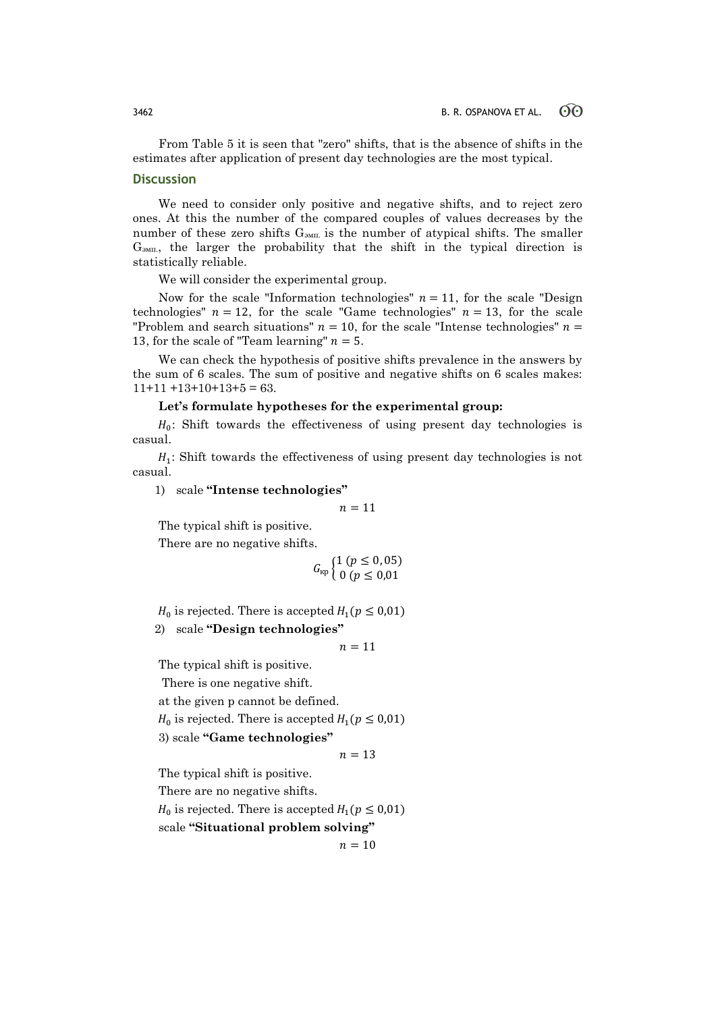From Table 5 it is seen that "zero" shifts, that is the absence of shifts in the estimates after application of present day technologies are the most typical.

### **Discussion**

We need to consider only positive and negative shifts, and to reject zero ones. At this the number of the compared couples of values decreases by the number of these zero shifts  $G<sub>3MII</sub>$  is the number of atypical shifts. The smaller Gэмп., the larger the probability that the shift in the typical direction is statistically reliable.

We will consider the experimental group.

Now for the scale "Information technologies"  $n = 11$ , for the scale "Design" technologies"  $n = 12$ , for the scale "Game technologies"  $n = 13$ , for the scale "Problem and search situations"  $n = 10$ , for the scale "Intense technologies"  $n =$ 13, for the scale of "Team learning"  $n = 5$ .

We can check the hypothesis of positive shifts prevalence in the answers by the sum of 6 scales. The sum of positive and negative shifts on 6 scales makes:  $11+11+13+10+13+5=63.$ 

### **Let's formulate hypotheses for the experimental group:**

 $H_0$ : Shift towards the effectiveness of using present day technologies is casual.

 $H_1$ : Shift towards the effectiveness of using present day technologies is not casual.

1) scale **"Intense technologies"**

 $n = 11$ 

The typical shift is positive.

There are no negative shifts.

$$
G_{\text{\tiny KP}}\begin{cases} 1 (p \leq 0, 05) \\ 0 (p \leq 0, 01 \end{cases}
$$

 $H_0$  is rejected. There is accepted  $H_1(p \le 0.01)$ 2) scale **"Design technologies"**

 $n = 11$ 

The typical shift is positive.

There is one negative shift.

at the given p cannot be defined.

 $H_0$  is rejected. There is accepted  $H_1(p \le 0.01)$ 

3) scale **"Game technologies"**

$$
n=13
$$

The typical shift is positive.

There are no negative shifts.

 $H_0$  is rejected. There is accepted  $H_1(p \le 0.01)$ 

scale **"Situational problem solving"**

 $n = 10$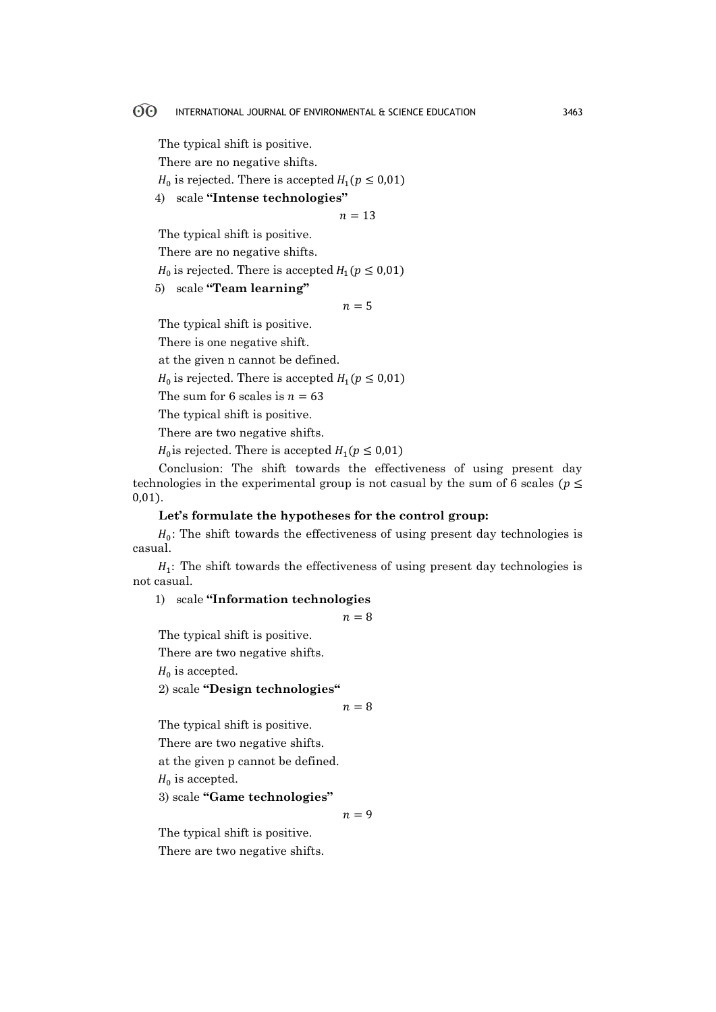The typical shift is positive.

There are no negative shifts.

 $H_0$  is rejected. There is accepted  $H_1(p \le 0.01)$ 

4) scale **"Intense technologies"**

 $n = 13$ 

The typical shift is positive.

There are no negative shifts.

 $H_0$  is rejected. There is accepted  $H_1(p \le 0.01)$ 

5) scale **"Team learning"**

 $n = 5$ 

The typical shift is positive.

There is one negative shift.

at the given n cannot be defined.

 $H_0$  is rejected. There is accepted  $H_1(p \le 0.01)$ 

The sum for 6 scales is  $n = 63$ 

The typical shift is positive.

There are two negative shifts.

 $H_0$  is rejected. There is accepted  $H_1(p \le 0.01)$ 

Conclusion: The shift towards the effectiveness of using present day technologies in the experimental group is not casual by the sum of 6 scales ( $p \leq$ 0,01).

**Let's formulate the hypotheses for the control group:**

 $H_0$ : The shift towards the effectiveness of using present day technologies is casual.

 $H_1$ : The shift towards the effectiveness of using present day technologies is not casual.

1) scale **"Information technologies**

 $n = 8$ 

The typical shift is positive.

There are two negative shifts.

 $H_0$  is accepted.

2) scale **"Design technologies"**

$$
n=8
$$

The typical shift is positive.

There are two negative shifts.

at the given p cannot be defined.

 $H_0$  is accepted.

3) scale **"Game technologies"**

 $n = 9$ 

The typical shift is positive.

There are two negative shifts.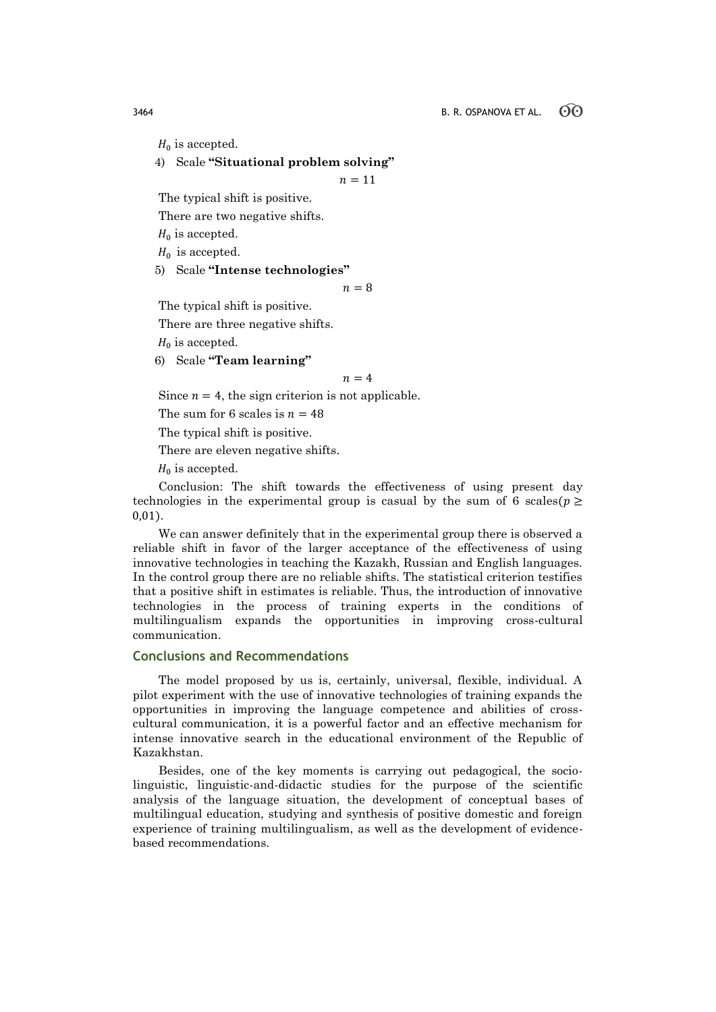$H_0$  is accepted.

4) Scale **"Situational problem solving"**

 $n = 11$ 

The typical shift is positive.

There are two negative shifts.

 $H_0$  is accepted.

 $H_0$  is accepted.

5) Scale **"Intense technologies"**

 $n = 8$ 

The typical shift is positive.

There are three negative shifts.

 $H_0$  is accepted.

6) Scale **"Team learning"**

$$
n=4
$$

Since  $n = 4$ , the sign criterion is not applicable.

The sum for 6 scales is  $n = 48$ 

The typical shift is positive.

There are eleven negative shifts.

 $H_0$  is accepted.

Conclusion: The shift towards the effectiveness of using present day technologies in the experimental group is casual by the sum of 6 scales ( $p \ge$ 0,01).

We can answer definitely that in the experimental group there is observed a reliable shift in favor of the larger acceptance of the effectiveness of using innovative technologies in teaching the Kazakh, Russian and English languages. In the control group there are no reliable shifts. The statistical criterion testifies that a positive shift in estimates is reliable. Thus, the introduction of innovative technologies in the process of training experts in the conditions of multilingualism expands the opportunities in improving cross-cultural communication.

### **Conclusions and Recommendations**

The model proposed by us is, certainly, universal, flexible, individual. A pilot experiment with the use of innovative technologies of training expands the opportunities in improving the language competence and abilities of crosscultural communication, it is a powerful factor and an effective mechanism for intense innovative search in the educational environment of the Republic of Kazakhstan.

Besides, one of the key moments is carrying out pedagogical, the sociolinguistic, linguistic-and-didactic studies for the purpose of the scientific analysis of the language situation, the development of conceptual bases of multilingual education, studying and synthesis of positive domestic and foreign experience of training multilingualism, as well as the development of evidencebased recommendations.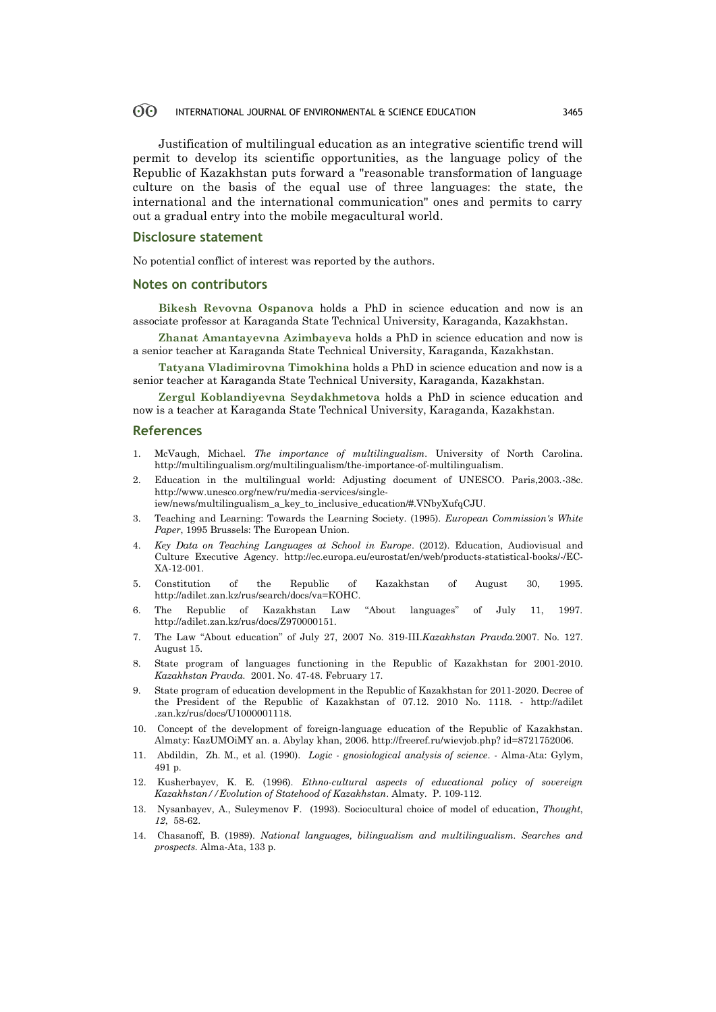Justification of multilingual education as an integrative scientific trend will permit to develop its scientific opportunities, as the language policy of the Republic of Kazakhstan puts forward a "reasonable transformation of language culture on the basis of the equal use of three languages: the state, the international and the international communication" ones and permits to carry out a gradual entry into the mobile megacultural world.

### **Disclosure statement**

No potential conflict of interest was reported by the authors.

### **Notes on contributors**

**Bikesh Revovna Ospanova** holds a PhD in science education and now is an associate professor at Karaganda State Technical University, Karaganda, Kazakhstan.

**Zhanat Amantayevna Azimbayeva** holds a PhD in science education and now is a senior teacher at Karaganda State Technical University, Karaganda, Kazakhstan.

**Tatyana Vladimirovna Timokhina** holds a PhD in science education and now is a senior teacher at Karaganda State Technical University, Karaganda, Kazakhstan.

**Zergul Koblandiyevna Seydakhmetova** holds a PhD in science education and now is a teacher at Karaganda State Technical University, Karaganda, Kazakhstan.

### **References**

- 1. McVaugh, Michael. *The importance of multilingualism.* University of North Carolina. http://multilingualism.org/multilingualism/the-importance-of-multilingualism.
- 2. Education in the multilingual world: Adjusting document of UNESCO. Paris,2003.-38с. http://www.unesco.org/new/ru/media-services/single-
- iew/news/multilingualism\_a\_key\_to\_inclusive\_education/#.VNbyXufqCJU.
- 3. Teaching and Learning: Towards the Learning Society. (1995). *European Commission's White Paper*, 1995 Brussels: The European Union.
- 4. *Key Data on Teaching Languages at School in Europe*. (2012). Education, Audiovisual and Culture Executive Agency. http://ec.europa.eu/eurostat/en/web/products-statistical-books/-/EC-XA-12-001.
- 5. Constitution of the Republic of Kazakhstan of August 30, 1995. http://adilet.zan.kz/rus/search/docs/va=КОНС.
- 6. The Republic of Kazakhstan Law "About languages" of July 11, 1997. http://adilet.zan.kz/rus/docs/Z970000151.
- 7. The Law "About education" of July 27, 2007 No. 319-III.*Kazakhstan Pravda.*2007. No. 127. August 15.
- 8. State program of languages functioning in the Republic of Kazakhstan for 2001-2010. *Kazakhstan Pravda.* 2001. No. 47-48. February 17.
- 9. State program of education development in the Republic of Kazakhstan for 2011-2020. Decree of the President of the Republic of Kazakhstan of 07.12. 2010 No. 1118. - http://adilet .zan.kz/rus/docs/U1000001118.
- 10. Concept of the development of foreign-language education of the Republic of Kazakhstan. Almaty: КazUMOiMY an. a. Abylay khan, 2006. http://freeref.ru/wievjob.php? id=8721752006.
- 11. Abdildin, Zh. M., et al. (1990). *Logic - gnosiological analysis of science*. Alma-Ata: Gylym, 491 p.
- 12. Kusherbayev, K. E. (1996). *Ethno-cultural aspects of educational policy of sovereign Kazakhstan//Evolution of Statehood of Kazakhstan*. Almaty. P. 109-112.
- 13. Nysanbayev, A., Suleymenov F. (1993). Sociocultural choice of model of education, *Thought*, *12*, 58-62.
- 14. Chasanoff, B. (1989). *National languages, bilingualism and multilingualism. Searches and prospects.* Alma-Ata, 133 p.